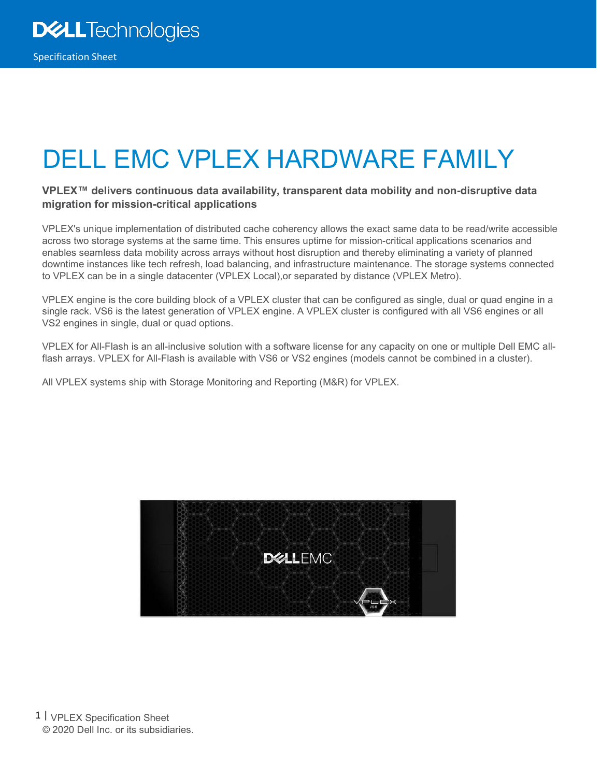# DELL EMC VPLEX HARDWARE FAMILY

#### **VPLEX™ delivers continuous data availability, transparent data mobility and non-disruptive data migration for mission-critical applications**

VPLEX's unique implementation of distributed cache coherency allows the exact same data to be read/write accessible across two storage systems at the same time. This ensures uptime for mission-critical applications scenarios and enables seamless data mobility across arrays without host disruption and thereby eliminating a variety of planned downtime instances like tech refresh, load balancing, and infrastructure maintenance. The storage systems connected to VPLEX can be in a single datacenter (VPLEX Local),or separated by distance (VPLEX Metro).

VPLEX engine is the core building block of a VPLEX cluster that can be configured as single, dual or quad engine in a single rack. VS6 is the latest generation of VPLEX engine. A VPLEX cluster is configured with all VS6 engines or all VS2 engines in single, dual or quad options.

VPLEX for All-Flash is an all-inclusive solution with a software license for any capacity on one or multiple Dell EMC allflash arrays. VPLEX for All-Flash is available with VS6 or VS2 engines (models cannot be combined in a cluster).

All VPLEX systems ship with Storage Monitoring and Reporting (M&R) for VPLEX.



1 | VPLEX Specification Sheet © 2020 Dell Inc. or its subsidiaries.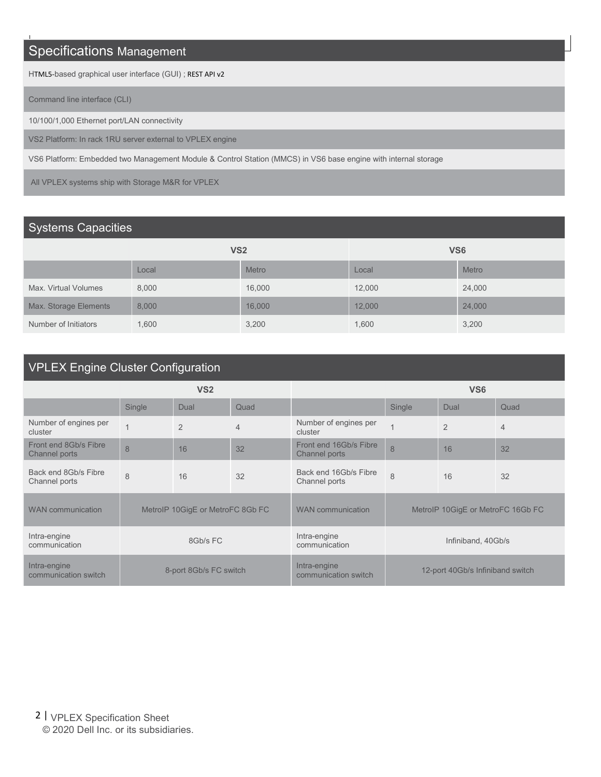# Specifications Management

HTML5-based graphical user interface (GUI) ; REST API v2

Command line interface (CLI)

10/100/1,000 Ethernet port/LAN connectivity

VS2 Platform: In rack 1RU server external to VPLEX engine

VS6 Platform: Embedded two Management Module & Control Station (MMCS) in VS6 base engine with internal storage

All VPLEX systems ship with Storage M&R for VPLEX

#### Systems Capacities

|                       | <b>VS2</b> |              | VS <sub>6</sub> |              |  |
|-----------------------|------------|--------------|-----------------|--------------|--|
|                       | Local      | <b>Metro</b> | Local           | <b>Metro</b> |  |
| Max. Virtual Volumes  | 8,000      | 16,000       | 12,000          | 24,000       |  |
| Max. Storage Elements | 8,000      | 16,000       | 12,000          | 24,000       |  |
| Number of Initiators  | 1,600      | 3,200        | 1,600           | 3,200        |  |

# VPLEX Engine Cluster Configuration

|                                        | <b>VS2</b>     |                                  |      | <b>VS6</b>                              |                                   |                |                |
|----------------------------------------|----------------|----------------------------------|------|-----------------------------------------|-----------------------------------|----------------|----------------|
|                                        | Single         | Dual                             | Quad |                                         | Single                            | Dual           | Quad           |
| Number of engines per<br>cluster       | $\overline{A}$ | $\overline{2}$                   | 4    | Number of engines per<br>cluster        |                                   | $\overline{2}$ | $\overline{4}$ |
| Front end 8Gb/s Fibre<br>Channel ports | 8              | 16                               | 32   | Front end 16Gb/s Fibre<br>Channel ports | 8                                 | 16             | 32             |
| Back end 8Gb/s Fibre<br>Channel ports  | 8              | 16                               | 32   | Back end 16Gb/s Fibre<br>Channel ports  | 8                                 | 16             | 32             |
| <b>WAN</b> communication               |                | MetroIP 10GigE or MetroFC 8Gb FC |      | <b>WAN</b> communication                | MetroIP 10GigE or MetroFC 16Gb FC |                |                |
| Intra-engine<br>communication          |                | 8Gb/s FC                         |      | Intra-engine<br>communication           | Infiniband, 40Gb/s                |                |                |
| Intra-engine<br>communication switch   |                | 8-port 8Gb/s FC switch           |      | Intra-engine<br>communication switch    | 12-port 40Gb/s Infiniband switch  |                |                |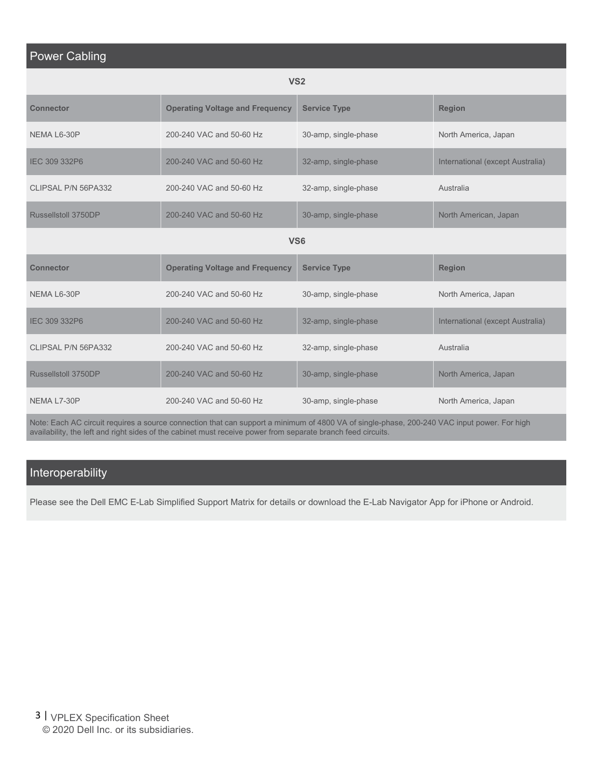#### Power Cabling

|--|--|

| <b>Connector</b>    | <b>Operating Voltage and Frequency</b> | <b>Service Type</b>  | <b>Region</b>                    |
|---------------------|----------------------------------------|----------------------|----------------------------------|
| NEMA L6-30P         | 200-240 VAC and 50-60 Hz               | 30-amp, single-phase | North America, Japan             |
| IEC 309 332P6       | 200-240 VAC and 50-60 Hz               | 32-amp, single-phase | International (except Australia) |
| CLIPSAL P/N 56PA332 | 200-240 VAC and 50-60 Hz               | 32-amp, single-phase | Australia                        |
| Russellstoll 3750DP | 200-240 VAC and 50-60 Hz               | 30-amp, single-phase | North American, Japan            |
|                     |                                        | <b>VS6</b>           |                                  |
| <b>Connector</b>    | <b>Operating Voltage and Frequency</b> | <b>Service Type</b>  | <b>Region</b>                    |
| NEMA L6-30P         | 200-240 VAC and 50-60 Hz               | 30-amp, single-phase | North America, Japan             |
| IEC 309 332P6       | 200-240 VAC and 50-60 Hz               | 32-amp, single-phase | International (except Australia) |
| CLIPSAL P/N 56PA332 | 200-240 VAC and 50-60 Hz               | 32-amp, single-phase | Australia                        |
| Russellstoll 3750DP | 200-240 VAC and 50-60 Hz               | 30-amp, single-phase | North America, Japan             |
| NEMA L7-30P         | 200-240 VAC and 50-60 Hz               | 30-amp, single-phase | North America, Japan             |

Note: Each AC circuit requires a source connection that can support a minimum of 4800 VA of single-phase, 200-240 VAC input power. For high availability, the left and right sides of the cabinet must receive power from separate branch feed circuits.

### Interoperability

Please see the Dell EMC E-Lab Simplified Support Matrix for details or download the E-Lab Navigator App for iPhone or Android.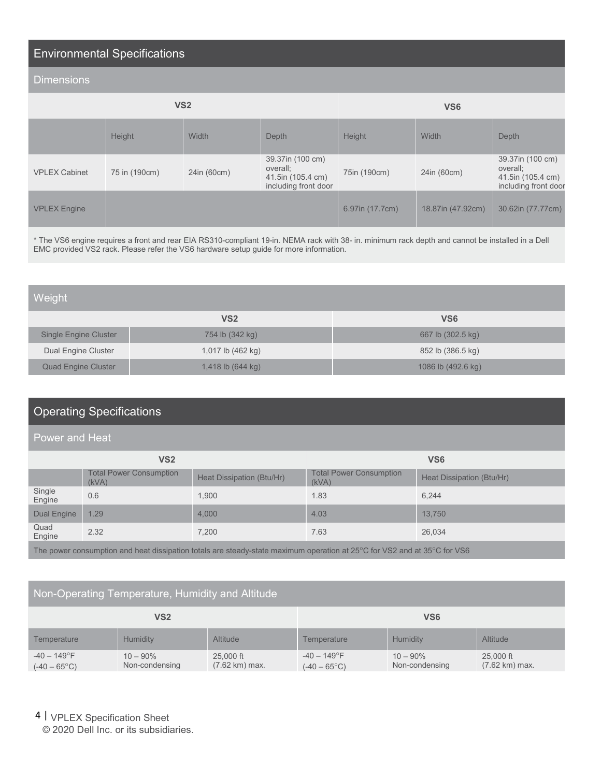## Environmental Specifications

#### **Dimensions**

| VS <sub>2</sub>      |               |             |                                                                           | VS <sub>6</sub> |                   |                                                                           |
|----------------------|---------------|-------------|---------------------------------------------------------------------------|-----------------|-------------------|---------------------------------------------------------------------------|
|                      | Height        | Width       | Depth                                                                     | Height          | Width             | Depth                                                                     |
| <b>VPLEX Cabinet</b> | 75 in (190cm) | 24in (60cm) | 39.37in (100 cm)<br>overall;<br>41.5in (105.4 cm)<br>including front door | 75in (190cm)    | 24in (60cm)       | 39.37in (100 cm)<br>overall;<br>41.5in (105.4 cm)<br>including front door |
| <b>VPLEX Engine</b>  |               |             |                                                                           | 6.97in (17.7cm) | 18.87in (47.92cm) | 30.62in (77.77cm)                                                         |

\* The VS6 engine requires a front and rear EIA RS310-compliant 19-in. NEMA rack with 38- in. minimum rack depth and cannot be installed in a Dell EMC provided VS2 rack. Please refer the VS6 hardware setup guide for more information.

| Weight                       |                             |                    |
|------------------------------|-----------------------------|--------------------|
|                              | <b>VS2</b>                  | VS <sub>6</sub>    |
| <b>Single Engine Cluster</b> | 754 lb (342 kg)             | 667 lb (302.5 kg)  |
| Dual Engine Cluster          | 1,017 lb (462 kg)           | 852 lb (386.5 kg)  |
| <b>Quad Engine Cluster</b>   | 1,418 lb $(644 \text{ kg})$ | 1086 lb (492.6 kg) |

### Operating Specifications

#### Power and Heat

| <b>VS2</b>                                                                                                                                   |                                         |                           | <b>VS6</b>                              |                           |  |
|----------------------------------------------------------------------------------------------------------------------------------------------|-----------------------------------------|---------------------------|-----------------------------------------|---------------------------|--|
|                                                                                                                                              | <b>Total Power Consumption</b><br>(kVA) | Heat Dissipation (Btu/Hr) | <b>Total Power Consumption</b><br>(kVA) | Heat Dissipation (Btu/Hr) |  |
| Single<br>Engine                                                                                                                             | 0.6                                     | 1.900                     | 1.83                                    | 6.244                     |  |
| <b>Dual Engine</b>                                                                                                                           | 1.29                                    | 4.000                     | 4.03                                    | 13.750                    |  |
| Quad<br>Engine                                                                                                                               | 2.32                                    | 7.200                     | 7.63                                    | 26.034                    |  |
| The power consumption and heat dissipation totals are steady-state maximum operation at 25 $\degree$ C for VS2 and at 35 $\degree$ C for VS6 |                                         |                           |                                         |                           |  |

### Non-Operating Temperature, Humidity and Altitude

| <b>VS2</b>                                     |                               |                                       | VS <sub>6</sub>                               |                               |                                       |
|------------------------------------------------|-------------------------------|---------------------------------------|-----------------------------------------------|-------------------------------|---------------------------------------|
| Temperature                                    | Humidity                      | <b>Altitude</b>                       | Temperature                                   | Humidity                      | <b>Altitude</b>                       |
| $-40 - 149^{\circ}$ F<br>$(-40 - 65^{\circ}C)$ | $10 - 90\%$<br>Non-condensing | 25,000 ft<br>$(7.62 \text{ km})$ max. | $-40 - 149^{\circ}F$<br>$(-40 - 65^{\circ}C)$ | $10 - 90\%$<br>Non-condensing | 25,000 ft<br>$(7.62 \text{ km})$ max. |

4 | VPLEX Specification Sheet

© 2020 Dell Inc. or its subsidiaries.